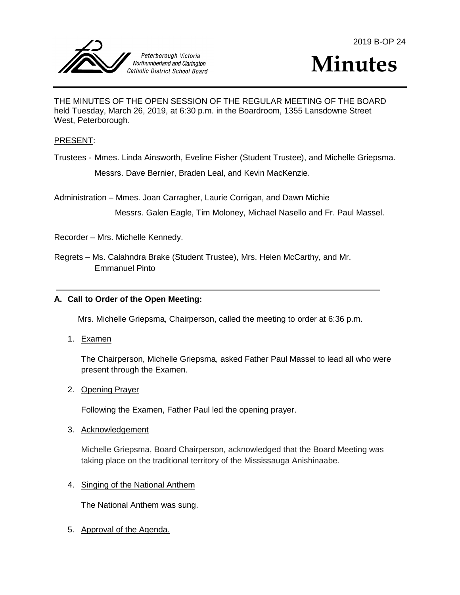



THE MINUTES OF THE OPEN SESSION OF THE REGULAR MEETING OF THE BOARD held Tuesday, March 26, 2019, at 6:30 p.m. in the Boardroom, 1355 Lansdowne Street West, Peterborough.

#### PRESENT:

Trustees - Mmes. Linda Ainsworth, Eveline Fisher (Student Trustee), and Michelle Griepsma. Messrs. Dave Bernier, Braden Leal, and Kevin MacKenzie.

Administration – Mmes. Joan Carragher, Laurie Corrigan, and Dawn Michie

Messrs. Galen Eagle, Tim Moloney, Michael Nasello and Fr. Paul Massel.

Recorder – Mrs. Michelle Kennedy.

Regrets – Ms. Calahndra Brake (Student Trustee), Mrs. Helen McCarthy, and Mr. Emmanuel Pinto

#### **A. Call to Order of the Open Meeting:**

Mrs. Michelle Griepsma, Chairperson, called the meeting to order at 6:36 p.m.

1. Examen

The Chairperson, Michelle Griepsma, asked Father Paul Massel to lead all who were present through the Examen.

#### 2. Opening Prayer

Following the Examen, Father Paul led the opening prayer.

#### 3. Acknowledgement

Michelle Griepsma, Board Chairperson, acknowledged that the Board Meeting was taking place on the traditional territory of the Mississauga Anishinaabe.

#### 4. Singing of the National Anthem

The National Anthem was sung.

5. Approval of the Agenda.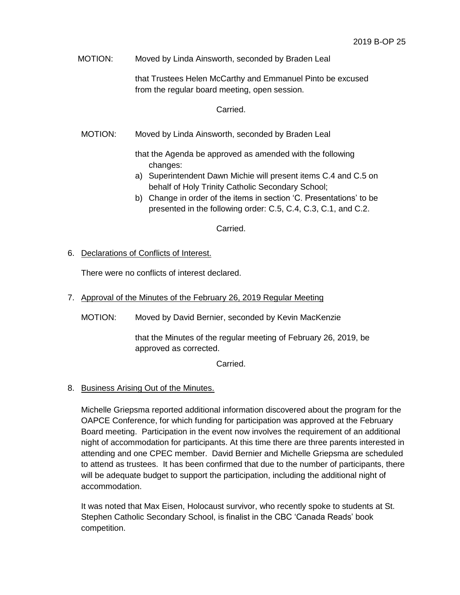MOTION: Moved by Linda Ainsworth, seconded by Braden Leal

that Trustees Helen McCarthy and Emmanuel Pinto be excused from the regular board meeting, open session.

#### Carried.

MOTION: Moved by Linda Ainsworth, seconded by Braden Leal

that the Agenda be approved as amended with the following changes:

- a) Superintendent Dawn Michie will present items C.4 and C.5 on behalf of Holy Trinity Catholic Secondary School;
- b) Change in order of the items in section 'C. Presentations' to be presented in the following order: C.5, C.4, C.3, C.1, and C.2.

Carried.

#### 6. Declarations of Conflicts of Interest.

There were no conflicts of interest declared.

- 7. Approval of the Minutes of the February 26, 2019 Regular Meeting
	- MOTION: Moved by David Bernier, seconded by Kevin MacKenzie

that the Minutes of the regular meeting of February 26, 2019, be approved as corrected.

Carried.

## 8. Business Arising Out of the Minutes.

Michelle Griepsma reported additional information discovered about the program for the OAPCE Conference, for which funding for participation was approved at the February Board meeting. Participation in the event now involves the requirement of an additional night of accommodation for participants. At this time there are three parents interested in attending and one CPEC member. David Bernier and Michelle Griepsma are scheduled to attend as trustees. It has been confirmed that due to the number of participants, there will be adequate budget to support the participation, including the additional night of accommodation.

It was noted that Max Eisen, Holocaust survivor, who recently spoke to students at St. Stephen Catholic Secondary School, is finalist in the CBC 'Canada Reads' book competition.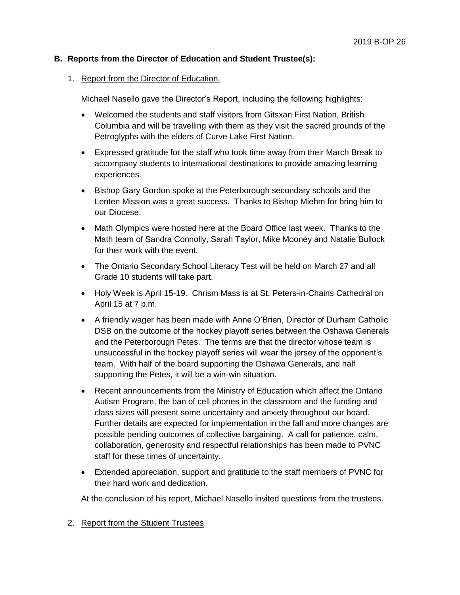# **B. Reports from the Director of Education and Student Trustee(s):**

1. Report from the Director of Education.

Michael Nasello gave the Director's Report, including the following highlights:

- Welcomed the students and staff visitors from Gitsxan First Nation, British Columbia and will be travelling with them as they visit the sacred grounds of the Petroglyphs with the elders of Curve Lake First Nation.
- Expressed gratitude for the staff who took time away from their March Break to accompany students to international destinations to provide amazing learning experiences.
- Bishop Gary Gordon spoke at the Peterborough secondary schools and the Lenten Mission was a great success. Thanks to Bishop Miehm for bring him to our Diocese.
- Math Olympics were hosted here at the Board Office last week. Thanks to the Math team of Sandra Connolly, Sarah Taylor, Mike Mooney and Natalie Bullock for their work with the event.
- The Ontario Secondary School Literacy Test will be held on March 27 and all Grade 10 students will take part.
- Holy Week is April 15-19. Chrism Mass is at St. Peters-in-Chains Cathedral on April 15 at 7 p.m.
- A friendly wager has been made with Anne O'Brien, Director of Durham Catholic DSB on the outcome of the hockey playoff series between the Oshawa Generals and the Peterborough Petes. The terms are that the director whose team is unsuccessful in the hockey playoff series will wear the jersey of the opponent's team. With half of the board supporting the Oshawa Generals, and half supporting the Petes, it will be a win-win situation.
- Recent announcements from the Ministry of Education which affect the Ontario Autism Program, the ban of cell phones in the classroom and the funding and class sizes will present some uncertainty and anxiety throughout our board. Further details are expected for implementation in the fall and more changes are possible pending outcomes of collective bargaining. A call for patience, calm, collaboration, generosity and respectful relationships has been made to PVNC staff for these times of uncertainty.
- Extended appreciation, support and gratitude to the staff members of PVNC for their hard work and dedication.

At the conclusion of his report, Michael Nasello invited questions from the trustees.

2. Report from the Student Trustees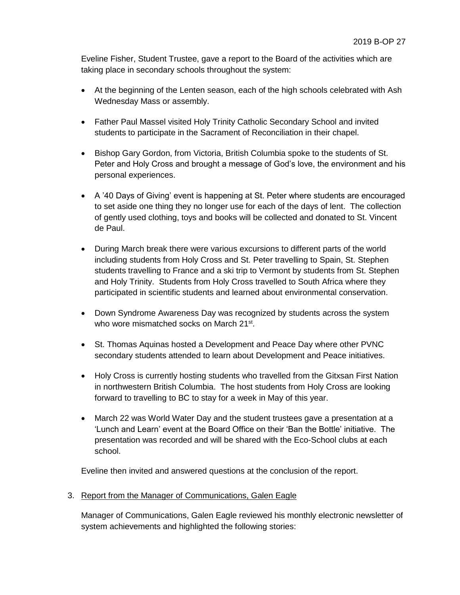Eveline Fisher, Student Trustee, gave a report to the Board of the activities which are taking place in secondary schools throughout the system:

- At the beginning of the Lenten season, each of the high schools celebrated with Ash Wednesday Mass or assembly.
- Father Paul Massel visited Holy Trinity Catholic Secondary School and invited students to participate in the Sacrament of Reconciliation in their chapel.
- Bishop Gary Gordon, from Victoria, British Columbia spoke to the students of St. Peter and Holy Cross and brought a message of God's love, the environment and his personal experiences.
- A '40 Days of Giving' event is happening at St. Peter where students are encouraged to set aside one thing they no longer use for each of the days of lent. The collection of gently used clothing, toys and books will be collected and donated to St. Vincent de Paul.
- During March break there were various excursions to different parts of the world including students from Holy Cross and St. Peter travelling to Spain, St. Stephen students travelling to France and a ski trip to Vermont by students from St. Stephen and Holy Trinity. Students from Holy Cross travelled to South Africa where they participated in scientific students and learned about environmental conservation.
- Down Syndrome Awareness Day was recognized by students across the system who wore mismatched socks on March 21st.
- St. Thomas Aquinas hosted a Development and Peace Day where other PVNC secondary students attended to learn about Development and Peace initiatives.
- Holy Cross is currently hosting students who travelled from the Gitxsan First Nation in northwestern British Columbia. The host students from Holy Cross are looking forward to travelling to BC to stay for a week in May of this year.
- March 22 was World Water Day and the student trustees gave a presentation at a 'Lunch and Learn' event at the Board Office on their 'Ban the Bottle' initiative. The presentation was recorded and will be shared with the Eco-School clubs at each school.

Eveline then invited and answered questions at the conclusion of the report.

3. Report from the Manager of Communications, Galen Eagle

Manager of Communications, Galen Eagle reviewed his monthly electronic newsletter of system achievements and highlighted the following stories: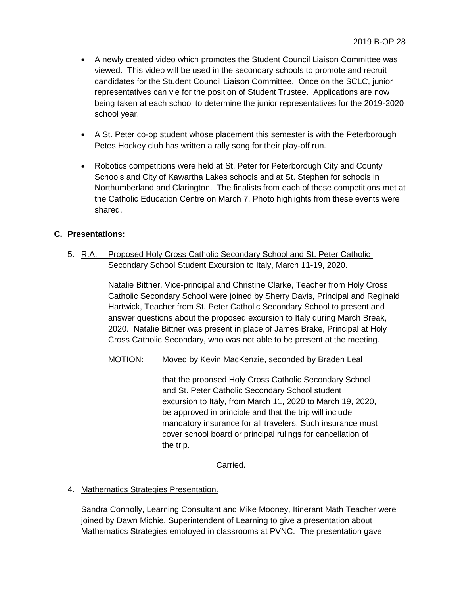- A newly created video which promotes the Student Council Liaison Committee was viewed. This video will be used in the secondary schools to promote and recruit candidates for the Student Council Liaison Committee. Once on the SCLC, junior representatives can vie for the position of Student Trustee. Applications are now being taken at each school to determine the junior representatives for the 2019-2020 school year.
- A St. Peter co-op student whose placement this semester is with the Peterborough Petes Hockey club has written a rally song for their play-off run.
- Robotics competitions were held at St. Peter for Peterborough City and County Schools and City of Kawartha Lakes schools and at St. Stephen for schools in Northumberland and Clarington. The finalists from each of these competitions met at the Catholic Education Centre on March 7. Photo highlights from these events were shared.

# **C. Presentations:**

5. R.A. Proposed Holy Cross Catholic Secondary School and St. Peter Catholic Secondary School Student Excursion to Italy, March 11-19, 2020.

> Natalie Bittner, Vice-principal and Christine Clarke, Teacher from Holy Cross Catholic Secondary School were joined by Sherry Davis, Principal and Reginald Hartwick, Teacher from St. Peter Catholic Secondary School to present and answer questions about the proposed excursion to Italy during March Break, 2020. Natalie Bittner was present in place of James Brake, Principal at Holy Cross Catholic Secondary, who was not able to be present at the meeting.

MOTION: Moved by Kevin MacKenzie, seconded by Braden Leal

that the proposed Holy Cross Catholic Secondary School and St. Peter Catholic Secondary School student excursion to Italy, from March 11, 2020 to March 19, 2020, be approved in principle and that the trip will include mandatory insurance for all travelers. Such insurance must cover school board or principal rulings for cancellation of the trip.

Carried.

# 4. Mathematics Strategies Presentation.

Sandra Connolly, Learning Consultant and Mike Mooney, Itinerant Math Teacher were joined by Dawn Michie, Superintendent of Learning to give a presentation about Mathematics Strategies employed in classrooms at PVNC. The presentation gave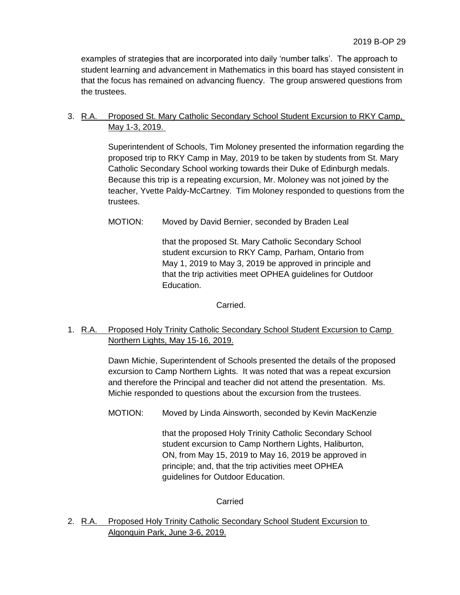examples of strategies that are incorporated into daily 'number talks'. The approach to student learning and advancement in Mathematics in this board has stayed consistent in that the focus has remained on advancing fluency. The group answered questions from the trustees.

# 3. R.A. Proposed St. Mary Catholic Secondary School Student Excursion to RKY Camp, May 1-3, 2019.

Superintendent of Schools, Tim Moloney presented the information regarding the proposed trip to RKY Camp in May, 2019 to be taken by students from St. Mary Catholic Secondary School working towards their Duke of Edinburgh medals. Because this trip is a repeating excursion, Mr. Moloney was not joined by the teacher, Yvette Paldy-McCartney. Tim Moloney responded to questions from the trustees.

MOTION: Moved by David Bernier, seconded by Braden Leal

that the proposed St. Mary Catholic Secondary School student excursion to RKY Camp, Parham, Ontario from May 1, 2019 to May 3, 2019 be approved in principle and that the trip activities meet OPHEA guidelines for Outdoor Education.

Carried.

# 1. R.A. Proposed Holy Trinity Catholic Secondary School Student Excursion to Camp Northern Lights, May 15-16, 2019.

Dawn Michie, Superintendent of Schools presented the details of the proposed excursion to Camp Northern Lights. It was noted that was a repeat excursion and therefore the Principal and teacher did not attend the presentation. Ms. Michie responded to questions about the excursion from the trustees.

MOTION: Moved by Linda Ainsworth, seconded by Kevin MacKenzie

that the proposed Holy Trinity Catholic Secondary School student excursion to Camp Northern Lights, Haliburton, ON, from May 15, 2019 to May 16, 2019 be approved in principle; and, that the trip activities meet OPHEA guidelines for Outdoor Education.

## Carried

2. R.A. Proposed Holy Trinity Catholic Secondary School Student Excursion to Algonquin Park, June 3-6, 2019.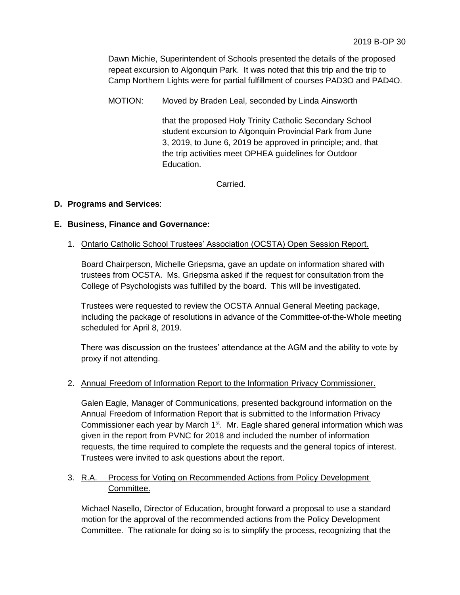Dawn Michie, Superintendent of Schools presented the details of the proposed repeat excursion to Algonquin Park. It was noted that this trip and the trip to Camp Northern Lights were for partial fulfillment of courses PAD3O and PAD4O.

MOTION: Moved by Braden Leal, seconded by Linda Ainsworth

that the proposed Holy Trinity Catholic Secondary School student excursion to Algonquin Provincial Park from June 3, 2019, to June 6, 2019 be approved in principle; and, that the trip activities meet OPHEA guidelines for Outdoor Education.

Carried.

# **D. Programs and Services**:

## **E. Business, Finance and Governance:**

1. Ontario Catholic School Trustees' Association (OCSTA) Open Session Report.

Board Chairperson, Michelle Griepsma, gave an update on information shared with trustees from OCSTA. Ms. Griepsma asked if the request for consultation from the College of Psychologists was fulfilled by the board. This will be investigated.

Trustees were requested to review the OCSTA Annual General Meeting package, including the package of resolutions in advance of the Committee-of-the-Whole meeting scheduled for April 8, 2019.

There was discussion on the trustees' attendance at the AGM and the ability to vote by proxy if not attending.

## 2. Annual Freedom of Information Report to the Information Privacy Commissioner.

Galen Eagle, Manager of Communications, presented background information on the Annual Freedom of Information Report that is submitted to the Information Privacy Commissioner each year by March 1<sup>st</sup>. Mr. Eagle shared general information which was given in the report from PVNC for 2018 and included the number of information requests, the time required to complete the requests and the general topics of interest. Trustees were invited to ask questions about the report.

# 3. R.A. Process for Voting on Recommended Actions from Policy Development Committee.

Michael Nasello, Director of Education, brought forward a proposal to use a standard motion for the approval of the recommended actions from the Policy Development Committee. The rationale for doing so is to simplify the process, recognizing that the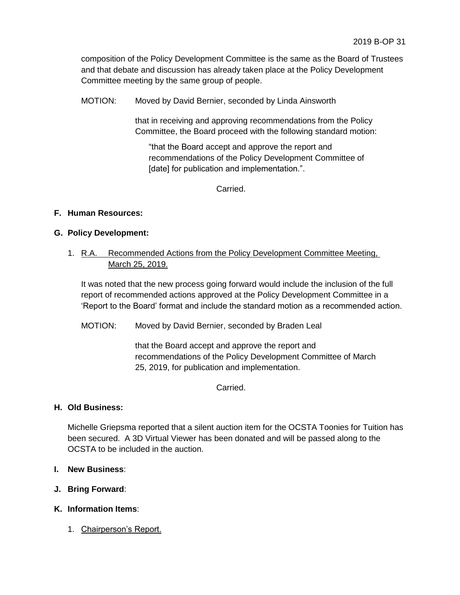composition of the Policy Development Committee is the same as the Board of Trustees and that debate and discussion has already taken place at the Policy Development Committee meeting by the same group of people.

MOTION: Moved by David Bernier, seconded by Linda Ainsworth

that in receiving and approving recommendations from the Policy Committee, the Board proceed with the following standard motion:

"that the Board accept and approve the report and recommendations of the Policy Development Committee of [date] for publication and implementation.".

Carried.

# **F. Human Resources:**

## **G. Policy Development:**

# 1. R.A. Recommended Actions from the Policy Development Committee Meeting, March 25, 2019.

It was noted that the new process going forward would include the inclusion of the full report of recommended actions approved at the Policy Development Committee in a 'Report to the Board' format and include the standard motion as a recommended action.

MOTION: Moved by David Bernier, seconded by Braden Leal

that the Board accept and approve the report and recommendations of the Policy Development Committee of March 25, 2019, for publication and implementation.

Carried.

## **H. Old Business:**

Michelle Griepsma reported that a silent auction item for the OCSTA Toonies for Tuition has been secured. A 3D Virtual Viewer has been donated and will be passed along to the OCSTA to be included in the auction.

- **I. New Business**:
- **J. Bring Forward**:
- **K. Information Items**:
	- 1. Chairperson's Report.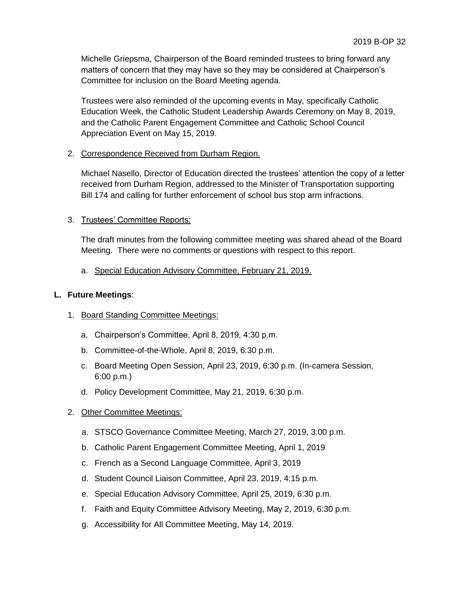Michelle Griepsma, Chairperson of the Board reminded trustees to bring forward any matters of concern that they may have so they may be considered at Chairperson's Committee for inclusion on the Board Meeting agenda.

Trustees were also reminded of the upcoming events in May, specifically Catholic Education Week, the Catholic Student Leadership Awards Ceremony on May 8, 2019, and the Catholic Parent Engagement Committee and Catholic School Council Appreciation Event on May 15, 2019.

## 2. Correspondence Received from Durham Region.

Michael Nasello, Director of Education directed the trustees' attention the copy of a letter received from Durham Region, addressed to the Minister of Transportation supporting Bill 174 and calling for further enforcement of school bus stop arm infractions.

# 3. Trustees' Committee Reports:

The draft minutes from the following committee meeting was shared ahead of the Board Meeting. There were no comments or questions with respect to this report.

a. Special Education Advisory Committee, February 21, 2019.

## **L. Future Meetings**:

- 1. Board Standing Committee Meetings:
	- a. Chairperson's Committee, April 8, 2019, 4:30 p.m.
	- b. Committee-of-the-Whole, April 8, 2019, 6:30 p.m.
	- c. Board Meeting Open Session, April 23, 2019, 6:30 p.m. (In-camera Session, 6:00 p.m.)
	- d. Policy Development Committee, May 21, 2019, 6:30 p.m.
- 2. Other Committee Meetings:
	- a. STSCO Governance Committee Meeting, March 27, 2019, 3:00 p.m.
	- b. Catholic Parent Engagement Committee Meeting, April 1, 2019
	- c. French as a Second Language Committee, April 3, 2019
	- d. Student Council Liaison Committee, April 23, 2019, 4:15 p.m.
	- e. Special Education Advisory Committee, April 25, 2019, 6:30 p.m.
	- f. Faith and Equity Committee Advisory Meeting, May 2, 2019, 6:30 p.m.
	- g. Accessibility for All Committee Meeting, May 14, 2019.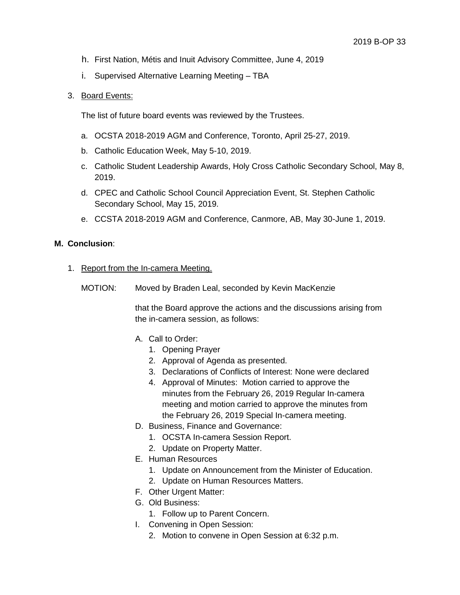- h. First Nation, Métis and Inuit Advisory Committee, June 4, 2019
- i. Supervised Alternative Learning Meeting TBA

#### 3. Board Events:

The list of future board events was reviewed by the Trustees.

- a. OCSTA 2018-2019 AGM and Conference, Toronto, April 25-27, 2019.
- b. Catholic Education Week, May 5-10, 2019.
- c. Catholic Student Leadership Awards, Holy Cross Catholic Secondary School, May 8, 2019.
- d. CPEC and Catholic School Council Appreciation Event, St. Stephen Catholic Secondary School, May 15, 2019.
- e. CCSTA 2018-2019 AGM and Conference, Canmore, AB, May 30-June 1, 2019.

#### **M. Conclusion**:

- 1. Report from the In-camera Meeting.
	- MOTION: Moved by Braden Leal, seconded by Kevin MacKenzie

that the Board approve the actions and the discussions arising from the in-camera session, as follows:

- A. Call to Order:
	- 1. Opening Prayer
	- 2. Approval of Agenda as presented.
	- 3. Declarations of Conflicts of Interest: None were declared
	- 4. Approval of Minutes: Motion carried to approve the minutes from the February 26, 2019 Regular In-camera meeting and motion carried to approve the minutes from the February 26, 2019 Special In-camera meeting.
- D. Business, Finance and Governance:
	- 1. OCSTA In-camera Session Report.
	- 2. Update on Property Matter.
- E. Human Resources
	- 1. Update on Announcement from the Minister of Education.
	- 2. Update on Human Resources Matters.
- F. Other Urgent Matter:
- G. Old Business:
	- 1. Follow up to Parent Concern.
- I. Convening in Open Session:
	- 2. Motion to convene in Open Session at 6:32 p.m.